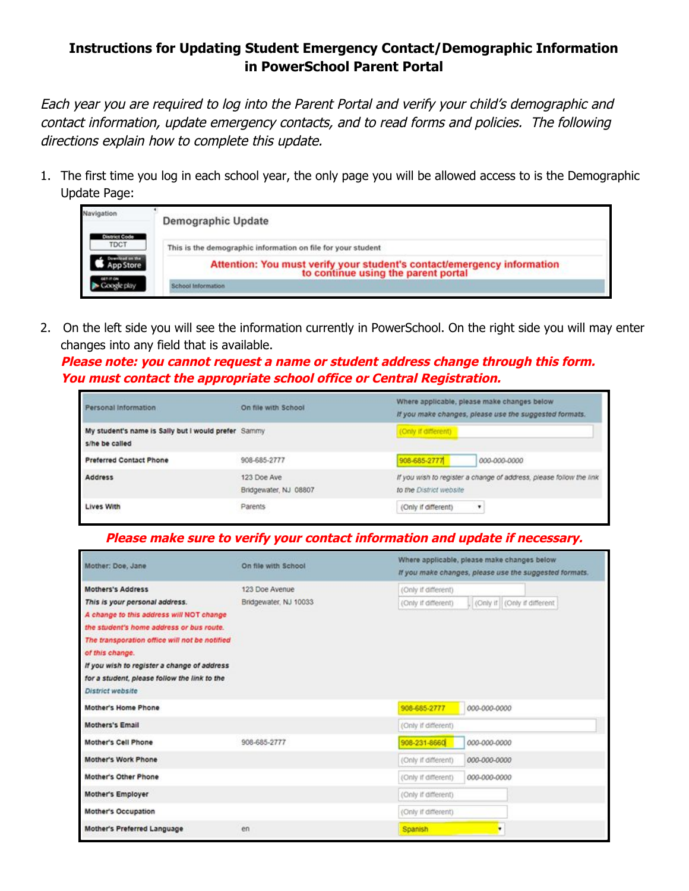## **Instructions for Updating Student Emergency Contact/Demographic Information in PowerSchool Parent Portal**

Each year you are required to log into the Parent Portal and verify your child's demographic and contact information, update emergency contacts, and to read forms and policies. The following directions explain how to complete this update.

1. The first time you log in each school year, the only page you will be allowed access to is the Demographic Update Page:

| Navigation<br>District Code<br><b>TDCT</b><br>Download on the<br>App Store<br>ORT IT ON<br>Coogle play | Demographic Update                                                                                             |
|--------------------------------------------------------------------------------------------------------|----------------------------------------------------------------------------------------------------------------|
|                                                                                                        | This is the demographic information on file for your student                                                   |
|                                                                                                        | Attention: You must verify your student's contact/emergency information<br>to continue using the parent portal |
|                                                                                                        | School Information                                                                                             |

2. On the left side you will see the information currently in PowerSchool. On the right side you will may enter changes into any field that is available.

**Please note: you cannot request <sup>a</sup> name or student address change through this form. You must contact the appropriate school office or Central Registration.**

| Personal Information                                                  | On file with School                  | Where applicable, please make changes below<br>If you make changes, please use the suggested formats. |
|-----------------------------------------------------------------------|--------------------------------------|-------------------------------------------------------------------------------------------------------|
| My student's name is Sally but I would prefer Sammy<br>s/he be called |                                      | (Only if different)                                                                                   |
| <b>Preferred Contact Phone</b>                                        | 908-685-2777                         | 908-685-2777<br>000-000-0000                                                                          |
| <b>Address</b>                                                        | 123 Doe Ave<br>Bridgewater, NJ 08807 | If you wish to register a change of address, please follow the link<br>to the District website        |
| Lives With                                                            | Parents                              | (Only if different)<br>۰                                                                              |

## **Please make sure to verify your contact information and update if necessary.**

| Mother: Doe, Jane                                       | On file with School | Where applicable, please make changes below<br>If you make changes, please use the suggested formats. |
|---------------------------------------------------------|---------------------|-------------------------------------------------------------------------------------------------------|
| <b>Mothers's Address</b>                                | 123 Doe Avenue      | (Only if different)                                                                                   |
| Bridgewater, NJ 10033<br>This is your personal address. |                     | Cnly if Cnly if different<br>(Only if different)                                                      |
| A change to this address will NOT change                |                     |                                                                                                       |
| the student's home address or bus route.                |                     |                                                                                                       |
| The transporation office will not be notified           |                     |                                                                                                       |
| of this change.                                         |                     |                                                                                                       |
| If you wish to register a change of address             |                     |                                                                                                       |
| for a student, please follow the link to the            |                     |                                                                                                       |
| District website                                        |                     |                                                                                                       |
| Mother's Home Phone                                     |                     | 908-685-2777<br>000-000-0000                                                                          |
| <b>Mothers's Email</b>                                  |                     | (Only if different)                                                                                   |
| Mother's Cell Phone                                     | 908-685-2777        | 908-231-8660<br>000-000-0000                                                                          |
| Mother's Work Phone                                     |                     | 000-000-0000<br>(Only if different)                                                                   |
| Mother's Other Phone                                    |                     | 000-000-0000<br>(Only if different)                                                                   |
| Mother's Employer                                       |                     | (Only if different)                                                                                   |
| Mother's Occupation                                     |                     | (Only if different)                                                                                   |
| Mother's Preferred Language                             | en                  | ٠<br>Spanish                                                                                          |